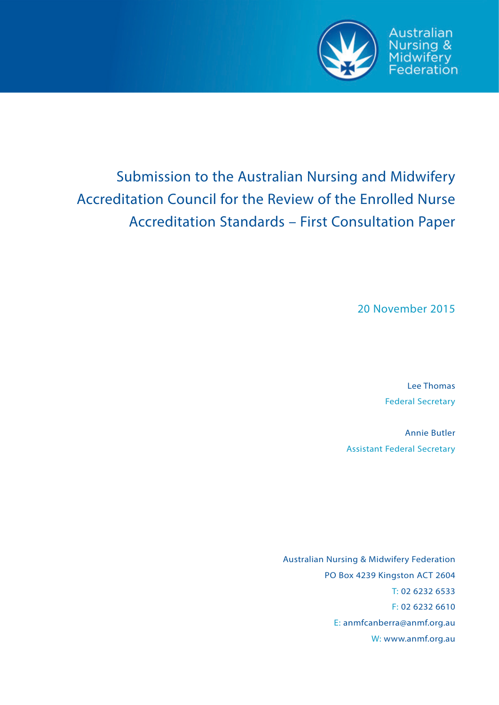

Australian Nursing & Midwifery<br>Federation

# Submission to the Australian Nursing and Midwifery Accreditation Council for the Review of the Enrolled Nurse Accreditation Standards – First Consultation Paper

20 November 2015

Lee Thomas Federal Secretary

Annie Butler Assistant Federal Secretary

Australian Nursing & Midwifery Federation PO Box 4239 Kingston ACT 2604 T: 02 6232 6533 F: 02 6232 6610 E: anmfcanberra@anmf.org.au W: www.anmf.org.au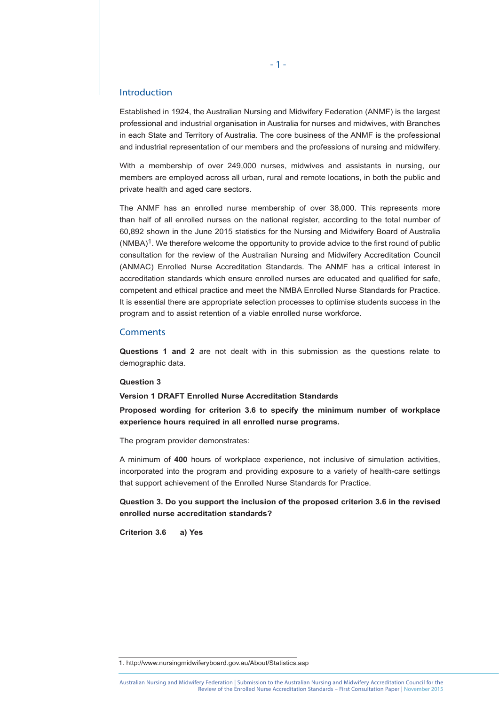# Introduction

Established in 1924, the Australian Nursing and Midwifery Federation (ANMF) is the largest professional and industrial organisation in Australia for nurses and midwives, with Branches in each State and Territory of Australia. The core business of the ANMF is the professional and industrial representation of our members and the professions of nursing and midwifery.

With a membership of over 249,000 nurses, midwives and assistants in nursing, our members are employed across all urban, rural and remote locations, in both the public and private health and aged care sectors.

The ANMF has an enrolled nurse membership of over 38,000. This represents more than half of all enrolled nurses on the national register, according to the total number of 60,892 shown in the June 2015 statistics for the Nursing and Midwifery Board of Australia  $(NMBA)^1$ . We therefore welcome the opportunity to provide advice to the first round of public consultation for the review of the Australian Nursing and Midwifery Accreditation Council (ANMAC) Enrolled Nurse Accreditation Standards. The ANMF has a critical interest in accreditation standards which ensure enrolled nurses are educated and qualified for safe, competent and ethical practice and meet the NMBA Enrolled Nurse Standards for Practice. It is essential there are appropriate selection processes to optimise students success in the program and to assist retention of a viable enrolled nurse workforce.

## **Comments**

**Questions 1 and 2** are not dealt with in this submission as the questions relate to demographic data.

## **Question 3**

**Version 1 DRAFT Enrolled Nurse Accreditation Standards**

**Proposed wording for criterion 3.6 to specify the minimum number of workplace experience hours required in all enrolled nurse programs.**

The program provider demonstrates:

A minimum of **400** hours of workplace experience, not inclusive of simulation activities, incorporated into the program and providing exposure to a variety of health-care settings that support achievement of the Enrolled Nurse Standards for Practice.

**Question 3. Do you support the inclusion of the proposed criterion 3.6 in the revised enrolled nurse accreditation standards?** 

**Criterion 3.6 a) Yes** 

<sup>1.</sup> http://www.nursingmidwiferyboard.gov.au/About/Statistics.asp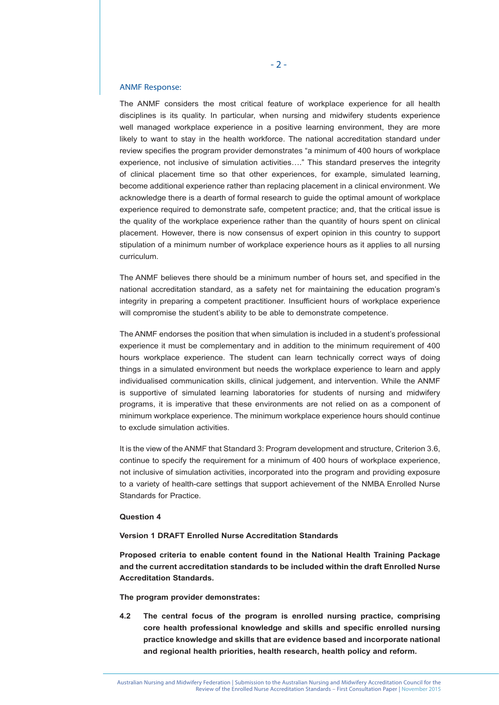## ANMF Response:

The ANMF considers the most critical feature of workplace experience for all health disciplines is its quality. In particular, when nursing and midwifery students experience well managed workplace experience in a positive learning environment, they are more likely to want to stay in the health workforce. The national accreditation standard under review specifies the program provider demonstrates "a minimum of 400 hours of workplace experience, not inclusive of simulation activities…." This standard preserves the integrity of clinical placement time so that other experiences, for example, simulated learning, become additional experience rather than replacing placement in a clinical environment. We acknowledge there is a dearth of formal research to guide the optimal amount of workplace experience required to demonstrate safe, competent practice; and, that the critical issue is the quality of the workplace experience rather than the quantity of hours spent on clinical placement. However, there is now consensus of expert opinion in this country to support stipulation of a minimum number of workplace experience hours as it applies to all nursing curriculum.

The ANMF believes there should be a minimum number of hours set, and specified in the national accreditation standard, as a safety net for maintaining the education program's integrity in preparing a competent practitioner. Insufficient hours of workplace experience will compromise the student's ability to be able to demonstrate competence.

The ANMF endorses the position that when simulation is included in a student's professional experience it must be complementary and in addition to the minimum requirement of 400 hours workplace experience. The student can learn technically correct ways of doing things in a simulated environment but needs the workplace experience to learn and apply individualised communication skills, clinical judgement, and intervention. While the ANMF is supportive of simulated learning laboratories for students of nursing and midwifery programs, it is imperative that these environments are not relied on as a component of minimum workplace experience. The minimum workplace experience hours should continue to exclude simulation activities.

It is the view of the ANMF that Standard 3: Program development and structure, Criterion 3.6, continue to specify the requirement for a minimum of 400 hours of workplace experience, not inclusive of simulation activities, incorporated into the program and providing exposure to a variety of health-care settings that support achievement of the NMBA Enrolled Nurse Standards for Practice.

## **Question 4**

## **Version 1 DRAFT Enrolled Nurse Accreditation Standards**

**Proposed criteria to enable content found in the National Health Training Package and the current accreditation standards to be included within the draft Enrolled Nurse Accreditation Standards.**

#### **The program provider demonstrates:**

**4.2 The central focus of the program is enrolled nursing practice, comprising core health professional knowledge and skills and specific enrolled nursing practice knowledge and skills that are evidence based and incorporate national and regional health priorities, health research, health policy and reform.**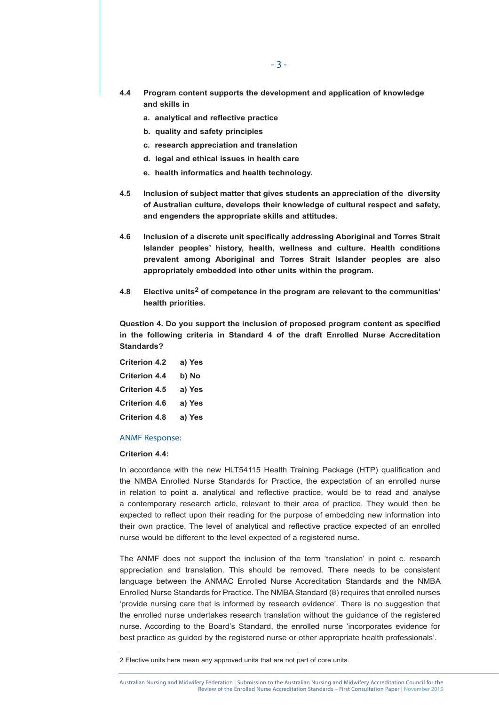- **4.4 Program content supports the development and application of knowledge and skills in** 
	- **a. analytical and reflective practice**
	- **b. quality and safety principles**
	- **c. research appreciation and translation**
	- **d. legal and ethical issues in health care**
	- **e. health informatics and health technology.**
- **4.5 Inclusion of subject matter that gives students an appreciation of the diversity of Australian culture, develops their knowledge of cultural respect and safety, and engenders the appropriate skills and attitudes.**
- **4.6 Inclusion of a discrete unit specifically addressing Aboriginal and Torres Strait Islander peoples' history, health, wellness and culture. Health conditions prevalent among Aboriginal and Torres Strait Islander peoples are also appropriately embedded into other units within the program.**
- **4.8 Elective units2 of competence in the program are relevant to the communities' health priorities.**

**Question 4. Do you support the inclusion of proposed program content as specified in the following criteria in Standard 4 of the draft Enrolled Nurse Accreditation Standards?**

| <b>Criterion 4.2</b> | a) Yes |
|----------------------|--------|
| <b>Criterion 4.4</b> | b) No  |
| <b>Criterion 4.5</b> | a) Yes |
| <b>Criterion 4.6</b> | a) Yes |
| <b>Criterion 4.8</b> | a) Yes |

## ANMF Response:

# **Criterion 4.4:**

In accordance with the new HLT54115 Health Training Package (HTP) qualification and the NMBA Enrolled Nurse Standards for Practice, the expectation of an enrolled nurse in relation to point a. analytical and reflective practice, would be to read and analyse a contemporary research article, relevant to their area of practice. They would then be expected to reflect upon their reading for the purpose of embedding new information into their own practice. The level of analytical and reflective practice expected of an enrolled nurse would be different to the level expected of a registered nurse.

The ANMF does not support the inclusion of the term 'translation' in point c. research appreciation and translation. This should be removed. There needs to be consistent language between the ANMAC Enrolled Nurse Accreditation Standards and the NMBA Enrolled Nurse Standards for Practice. The NMBA Standard (8) requires that enrolled nurses 'provide nursing care that is informed by research evidence'. There is no suggestion that the enrolled nurse undertakes research translation without the guidance of the registered nurse. According to the Board's Standard, the enrolled nurse 'incorporates evidence for best practice as guided by the registered nurse or other appropriate health professionals'.

<sup>2</sup> Elective units here mean any approved units that are not part of core units.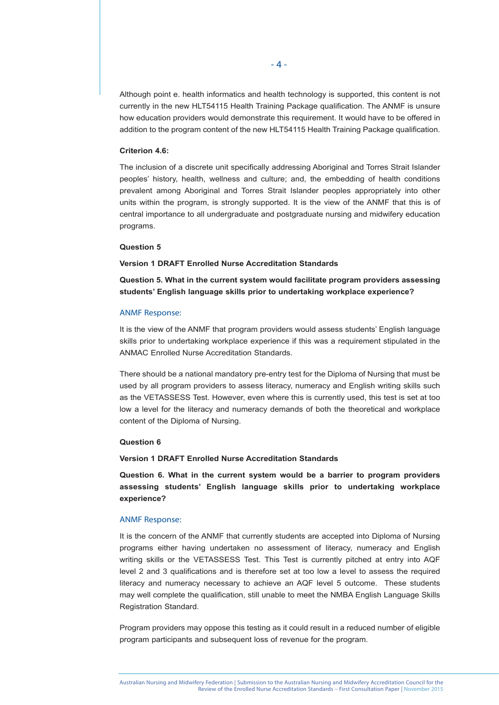Although point e. health informatics and health technology is supported, this content is not currently in the new HLT54115 Health Training Package qualification. The ANMF is unsure how education providers would demonstrate this requirement. It would have to be offered in addition to the program content of the new HLT54115 Health Training Package qualification.

# **Criterion 4.6:**

The inclusion of a discrete unit specifically addressing Aboriginal and Torres Strait Islander peoples' history, health, wellness and culture; and, the embedding of health conditions prevalent among Aboriginal and Torres Strait Islander peoples appropriately into other units within the program, is strongly supported. It is the view of the ANMF that this is of central importance to all undergraduate and postgraduate nursing and midwifery education programs.

# **Question 5**

# **Version 1 DRAFT Enrolled Nurse Accreditation Standards**

**Question 5. What in the current system would facilitate program providers assessing students' English language skills prior to undertaking workplace experience?** 

#### ANMF Response:

It is the view of the ANMF that program providers would assess students' English language skills prior to undertaking workplace experience if this was a requirement stipulated in the ANMAC Enrolled Nurse Accreditation Standards.

There should be a national mandatory pre-entry test for the Diploma of Nursing that must be used by all program providers to assess literacy, numeracy and English writing skills such as the VETASSESS Test. However, even where this is currently used, this test is set at too low a level for the literacy and numeracy demands of both the theoretical and workplace content of the Diploma of Nursing.

#### **Question 6**

## **Version 1 DRAFT Enrolled Nurse Accreditation Standards**

**Question 6. What in the current system would be a barrier to program providers assessing students' English language skills prior to undertaking workplace experience?**

# ANMF Response:

It is the concern of the ANMF that currently students are accepted into Diploma of Nursing programs either having undertaken no assessment of literacy, numeracy and English writing skills or the VETASSESS Test. This Test is currently pitched at entry into AQF level 2 and 3 qualifications and is therefore set at too low a level to assess the required literacy and numeracy necessary to achieve an AQF level 5 outcome. These students may well complete the qualification, still unable to meet the NMBA English Language Skills Registration Standard.

Program providers may oppose this testing as it could result in a reduced number of eligible program participants and subsequent loss of revenue for the program.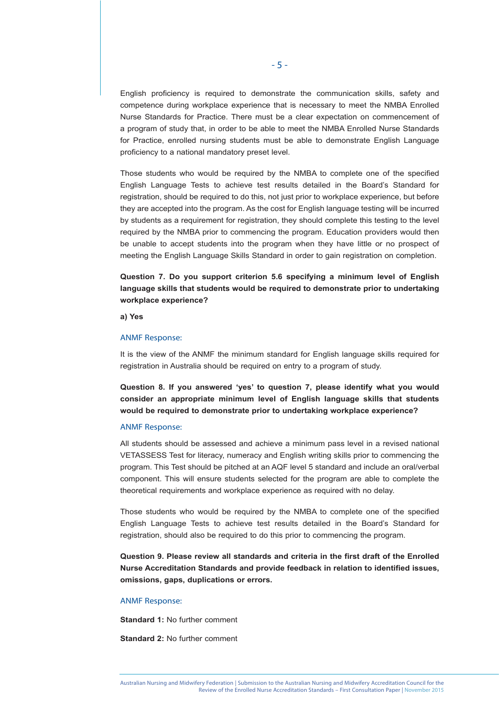English proficiency is required to demonstrate the communication skills, safety and competence during workplace experience that is necessary to meet the NMBA Enrolled Nurse Standards for Practice. There must be a clear expectation on commencement of a program of study that, in order to be able to meet the NMBA Enrolled Nurse Standards for Practice, enrolled nursing students must be able to demonstrate English Language proficiency to a national mandatory preset level.

Those students who would be required by the NMBA to complete one of the specified English Language Tests to achieve test results detailed in the Board's Standard for registration, should be required to do this, not just prior to workplace experience, but before they are accepted into the program. As the cost for English language testing will be incurred by students as a requirement for registration, they should complete this testing to the level required by the NMBA prior to commencing the program. Education providers would then be unable to accept students into the program when they have little or no prospect of meeting the English Language Skills Standard in order to gain registration on completion.

**Question 7. Do you support criterion 5.6 specifying a minimum level of English language skills that students would be required to demonstrate prior to undertaking workplace experience?**

**a) Yes** 

#### ANMF Response:

It is the view of the ANMF the minimum standard for English language skills required for registration in Australia should be required on entry to a program of study.

**Question 8. If you answered 'yes' to question 7, please identify what you would consider an appropriate minimum level of English language skills that students would be required to demonstrate prior to undertaking workplace experience?**

#### ANMF Response:

All students should be assessed and achieve a minimum pass level in a revised national VETASSESS Test for literacy, numeracy and English writing skills prior to commencing the program. This Test should be pitched at an AQF level 5 standard and include an oral/verbal component. This will ensure students selected for the program are able to complete the theoretical requirements and workplace experience as required with no delay.

Those students who would be required by the NMBA to complete one of the specified English Language Tests to achieve test results detailed in the Board's Standard for registration, should also be required to do this prior to commencing the program.

**Question 9. Please review all standards and criteria in the first draft of the Enrolled Nurse Accreditation Standards and provide feedback in relation to identified issues, omissions, gaps, duplications or errors.** 

#### ANMF Response:

**Standard 1:** No further comment

**Standard 2:** No further comment